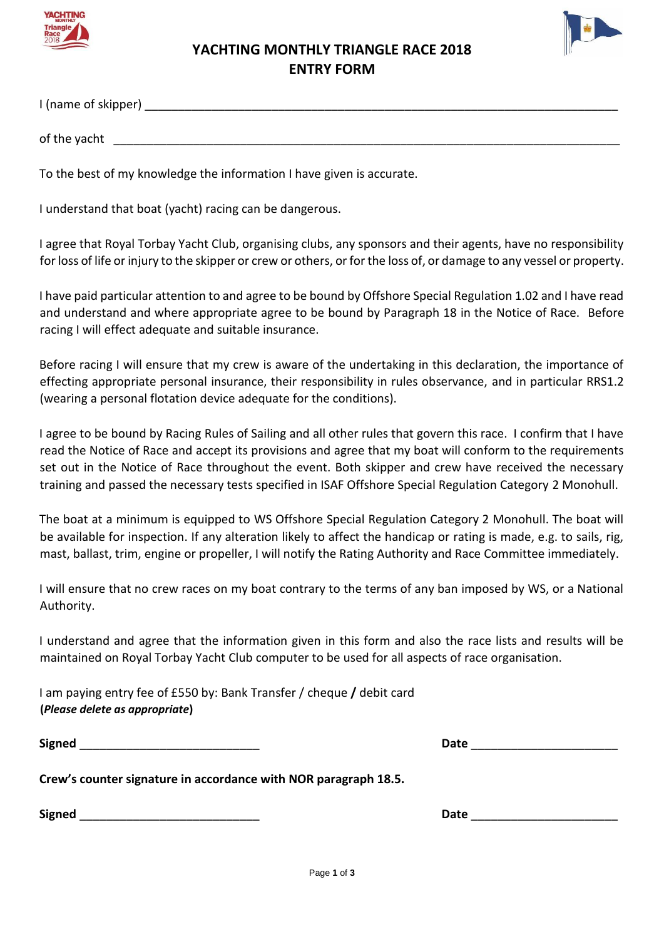



# **YACHTING MONTHLY TRIANGLE RACE 2018 ENTRY FORM**

I (name of skipper) and the state of skipper  $\blacksquare$ 

of the yacht **with the set of the set of the vacht** 

To the best of my knowledge the information I have given is accurate.

I understand that boat (yacht) racing can be dangerous.

I agree that Royal Torbay Yacht Club, organising clubs, any sponsors and their agents, have no responsibility for loss of life or injury to the skipper or crew or others, or for the loss of, or damage to any vessel or property.

I have paid particular attention to and agree to be bound by Offshore Special Regulation 1.02 and I have read and understand and where appropriate agree to be bound by Paragraph 18 in the Notice of Race. Before racing I will effect adequate and suitable insurance.

Before racing I will ensure that my crew is aware of the undertaking in this declaration, the importance of effecting appropriate personal insurance, their responsibility in rules observance, and in particular RRS1.2 (wearing a personal flotation device adequate for the conditions).

I agree to be bound by Racing Rules of Sailing and all other rules that govern this race. I confirm that I have read the Notice of Race and accept its provisions and agree that my boat will conform to the requirements set out in the Notice of Race throughout the event. Both skipper and crew have received the necessary training and passed the necessary tests specified in ISAF Offshore Special Regulation Category 2 Monohull.

The boat at a minimum is equipped to WS Offshore Special Regulation Category 2 Monohull. The boat will be available for inspection. If any alteration likely to affect the handicap or rating is made, e.g. to sails, rig, mast, ballast, trim, engine or propeller, I will notify the Rating Authority and Race Committee immediately.

I will ensure that no crew races on my boat contrary to the terms of any ban imposed by WS, or a National Authority.

I understand and agree that the information given in this form and also the race lists and results will be maintained on Royal Torbay Yacht Club computer to be used for all aspects of race organisation.

I am paying entry fee of £550 by: Bank Transfer / cheque **/** debit card **(***Please delete as appropriate***)**

**Signed Date Date Date Date** *Date Date* 

**Crew's counter signature in accordance with NOR paragraph 18.5.** 

**Signed** \_\_\_\_\_\_\_\_\_\_\_\_\_\_\_\_\_\_\_\_\_\_\_\_\_\_\_ **Date** \_\_\_\_\_\_\_\_\_\_\_\_\_\_\_\_\_\_\_\_\_\_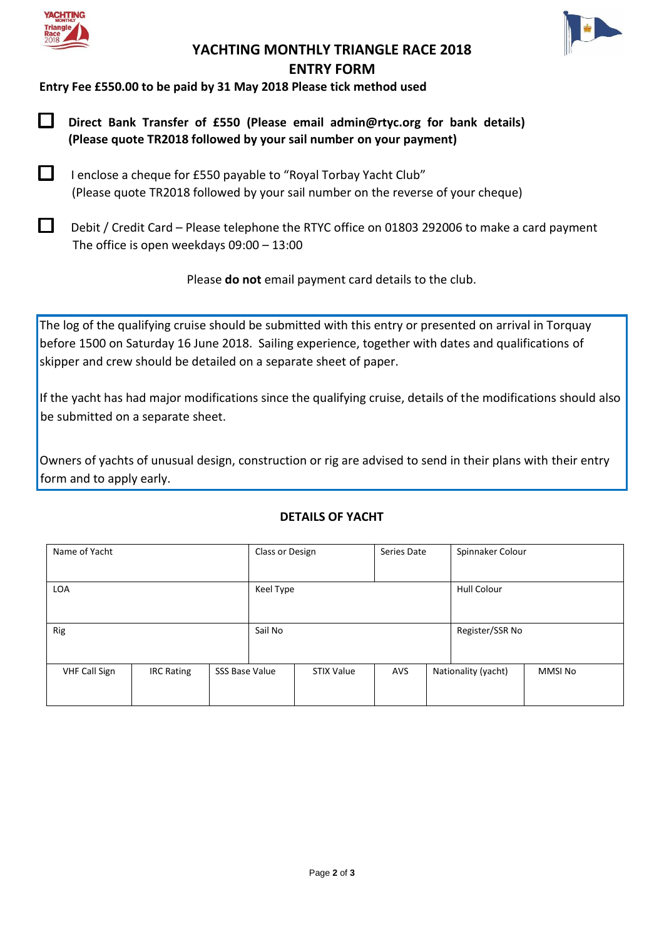



## **YACHTING MONTHLY TRIANGLE RACE 2018 ENTRY FORM**

**Entry Fee £550.00 to be paid by 31 May 2018 Please tick method used** 

- $\Box$ **Direct Bank Transfer of £550 (Please email admin@rtyc.org for bank details) (Please quote TR2018 followed by your sail number on your payment)**
- $\Box$ I enclose a cheque for £550 payable to "Royal Torbay Yacht Club" (Please quote TR2018 followed by your sail number on the reverse of your cheque)
- $\Box$ Debit / Credit Card – Please telephone the RTYC office on 01803 292006 to make a card payment The office is open weekdays 09:00 – 13:00

Please **do not** email payment card details to the club.

The log of the qualifying cruise should be submitted with this entry or presented on arrival in Torquay before 1500 on Saturday 16 June 2018. Sailing experience, together with dates and qualifications of skipper and crew should be detailed on a separate sheet of paper.

If the yacht has had major modifications since the qualifying cruise, details of the modifications should also be submitted on a separate sheet.

Owners of yachts of unusual design, construction or rig are advised to send in their plans with their entry form and to apply early.

#### **DETAILS OF YACHT**

| Name of Yacht        |                   |                | Class or Design |            | Series Date |             | Spinnaker Colour    |                |
|----------------------|-------------------|----------------|-----------------|------------|-------------|-------------|---------------------|----------------|
| LOA                  |                   |                | Keel Type       |            |             | Hull Colour |                     |                |
| Rig                  |                   |                | Sail No         |            |             |             | Register/SSR No     |                |
| <b>VHF Call Sign</b> | <b>IRC Rating</b> | SSS Base Value |                 | STIX Value | <b>AVS</b>  |             | Nationality (yacht) | <b>MMSI No</b> |